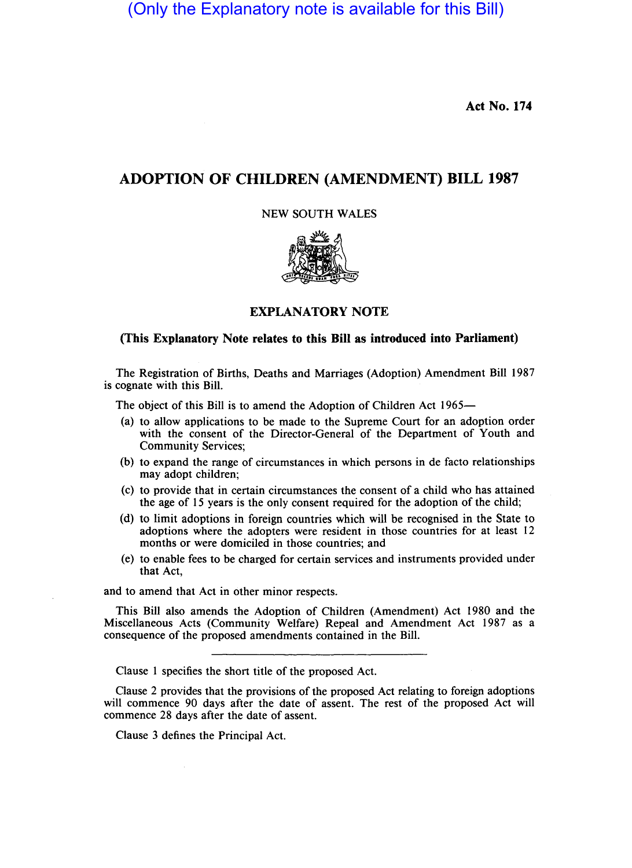(Only the Explanatory note is available for this Bill)

Act No. 174

## ADOPTION OF CHILDREN (AMENDMENT) BILL 1987

NEW SOUTH WALES



## EXPLANATORY NOTE

## (This Explanatory Note relates to this Bill as introduced into Parliament)

The Registration of Births, Deaths and Marriages (Adoption) Amendment Bill 1987 is cognate with this Bill.

The object of this Bill is to amend the Adoption of Children Act 1965-

- (a) to allow applications to be made to the Supreme Court for an adoption order with the consent of the Director-General of the Department of Youth and Community Services;
- (b) to expand the range of circumstances in which persons in de facto relationships may adopt children;
- (c) to provide that in certain circumstances the consent of a child who has attained the age of 15 years is the only consent required for the adoption of the child;
- (d) to limit adoptions in foreign countries which will be recognised in the State to adoptions where the adopters were resident in those countries for at least 12 months or were domiciled in those countries; and
- (e) to enable fees to be charged for certain services and instruments provided under that Act,

and to amend that Act in other minor respects.

This Bill also amends the Adoption of Children (Amendment) Act 1980 and the Miscellaneous Acts (Community Welfare) Repeal and Amendment Act 1987 as a consequence of the proposed amendments contained in the Bill.

Clause 1 specifies the short title of the proposed Act.

Clause 2 provides that the provisions of the proposed Act relating to foreign adoptions will commence 90 days after the date of assent. The rest of the proposed Act will commence 28 days after the date of assent.

Clause 3 defines the Principal Act.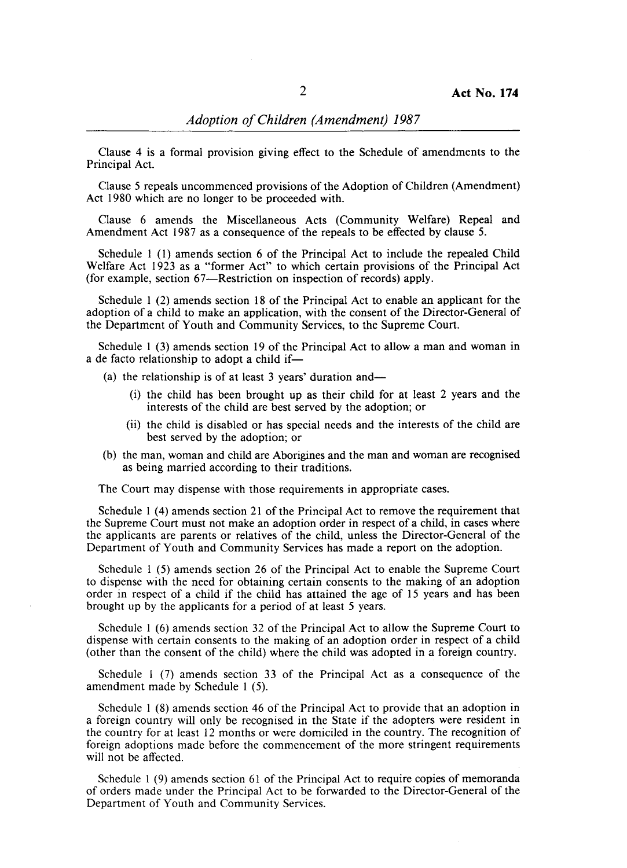Clause 4 is a formal provision giving effect to the Schedule of amendments to the Principal Act.

Clause 5 repeals uncommenced provisions of the Adoption of Children (Amendment) Act 1980 which are no longer to be proceeded with.

Clause 6 amends the Miscellaneous Acts (Community Welfare) Repeal and Amendment Act 1987 as a consequence of the repeals to be effected by clause 5.

Schedule 1 (1) amends section 6 of the Principal Act to include the repealed Child Welfare Act 1923 as a "former Act" to which certain provisions of the Principal Act (for example, section 67-Restriction on inspection of records) apply.

Schedule I (2) amends section 18 of the Principal Act to enable an applicant for the adoption of a child to make an application, with the consent of the Director-General of the Department of Youth and Community Services, to the Supreme Court.

Schedule I (3) amends section 19 of the Principal Act to allow a man and woman in a de facto relationship to adopt a child if-

(a) the relationship is of at least 3 years' duration and-

- (i) the child has been brought up as their child for at least 2 years and the interests of the child are best served by the adoption; or
- (ii) the child is disabled or has special needs and the interests of the child are best served by the adoption; or
- (b) the man, woman and child are Aborigines and the man and woman are recognised as being married according to their traditions.

The Court may dispense with those requirements in appropriate cases.

Schedule 1 (4) amends section 21 of the Principal Act to remove the requirement that the Supreme Court must not make an adoption order in respect of a child, in cases where the applicants are parents or relatives of the child, unless the Director-General of the Department of Youth and Community Services has made a report on the adoption.

Schedule 1 (5) amends section 26 of the Principal Act to enable the Supreme Court to dispense with the need for obtaining certain consents to the making of an adoption order in respect of a child if the child has attained the age of 15 years and has been brought up by the applicants for a period of at least 5 years.

Schedule I (6) amends section 32 of the Principal Act to allow the Supreme Court to dispense with certain consents to the making of an adoption order in respect of a child (other than the consent of the child) where the child was adopted in a foreign country.

Schedule I (7) amends section 33 of the Principal Act as a consequence of the amendment made by Schedule I (5).

Schedule I (8) amends section 46 of the Principal Act to provide that an adoption in a foreign country will only be recognised in the State if the adopters were resident in the country for at least 12 months or were domiciled in the country. The recognition of foreign adoptions made before the commencement of the more stringent requirements will not be affected.

Schedule 1 (9) amends section 61 of the Principal Act to require copies of memoranda of orders made under the Principal Act to be forwarded to the Director-General of the Department of Youth and Community Services.